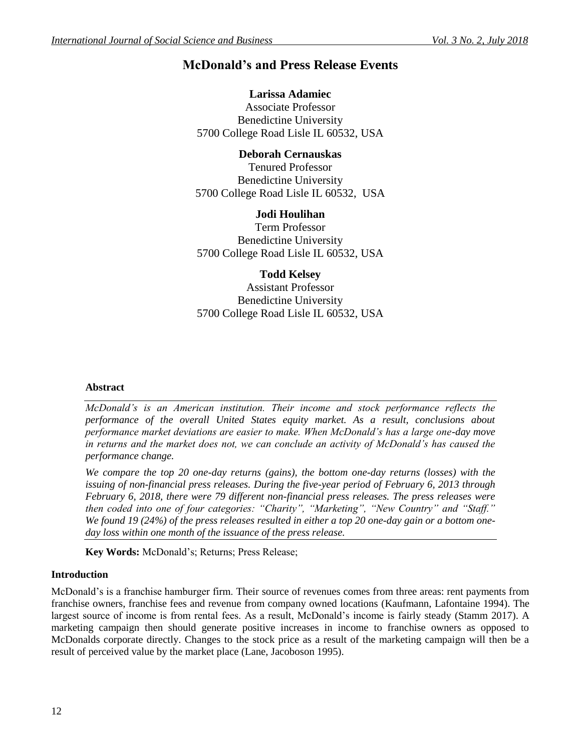# **McDonald's and Press Release Events**

### **Larissa Adamiec**

Associate Professor Benedictine University 5700 College Road Lisle IL 60532, USA

## **Deborah Cernauskas**

Tenured Professor Benedictine University 5700 College Road Lisle IL 60532, USA

# **Jodi Houlihan**

Term Professor Benedictine University 5700 College Road Lisle IL 60532, USA

# **Todd Kelsey**

Assistant Professor Benedictine University 5700 College Road Lisle IL 60532, USA

### **Abstract**

*McDonald's is an American institution. Their income and stock performance reflects the performance of the overall United States equity market. As a result, conclusions about performance market deviations are easier to make. When McDonald's has a large one-day move in returns and the market does not, we can conclude an activity of McDonald's has caused the performance change.* 

*We compare the top 20 one-day returns (gains), the bottom one-day returns (losses) with the issuing of non-financial press releases. During the five-year period of February 6, 2013 through February 6, 2018, there were 79 different non-financial press releases. The press releases were then coded into one of four categories: "Charity", "Marketing", "New Country" and "Staff." We found 19 (24%) of the press releases resulted in either a top 20 one-day gain or a bottom oneday loss within one month of the issuance of the press release.* 

**Key Words:** McDonald's; Returns; Press Release;

### **Introduction**

McDonald's is a franchise hamburger firm. Their source of revenues comes from three areas: rent payments from franchise owners, franchise fees and revenue from company owned locations (Kaufmann, Lafontaine 1994). The largest source of income is from rental fees. As a result, McDonald's income is fairly steady (Stamm 2017). A marketing campaign then should generate positive increases in income to franchise owners as opposed to McDonalds corporate directly. Changes to the stock price as a result of the marketing campaign will then be a result of perceived value by the market place (Lane, Jacoboson 1995).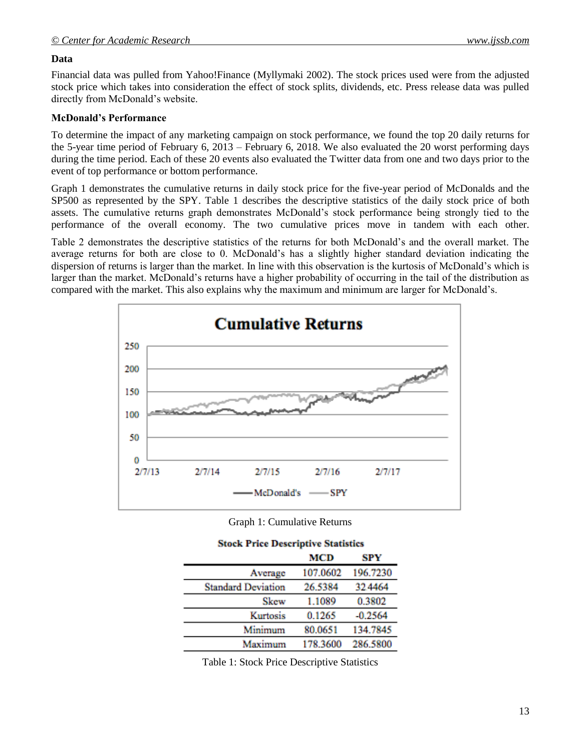## **Data**

Financial data was pulled from Yahoo!Finance (Myllymaki 2002). The stock prices used were from the adjusted stock price which takes into consideration the effect of stock splits, dividends, etc. Press release data was pulled directly from McDonald's website.

### **McDonald's Performance**

To determine the impact of any marketing campaign on stock performance, we found the top 20 daily returns for the 5-year time period of February 6, 2013 – February 6, 2018. We also evaluated the 20 worst performing days during the time period. Each of these 20 events also evaluated the Twitter data from one and two days prior to the event of top performance or bottom performance.

Graph 1 demonstrates the cumulative returns in daily stock price for the five-year period of McDonalds and the SP500 as represented by the SPY. Table 1 describes the descriptive statistics of the daily stock price of both assets. The cumulative returns graph demonstrates McDonald's stock performance being strongly tied to the performance of the overall economy. The two cumulative prices move in tandem with each other.

Table 2 demonstrates the descriptive statistics of the returns for both McDonald's and the overall market. The average returns for both are close to 0. McDonald's has a slightly higher standard deviation indicating the dispersion of returns is larger than the market. In line with this observation is the kurtosis of McDonald's which is larger than the market. McDonald's returns have a higher probability of occurring in the tail of the distribution as compared with the market. This also explains why the maximum and minimum are larger for McDonald's.



Graph 1: Cumulative Returns

|                           | <u>Linier I feld Dealt ball in Center and</u> |           |  |  |  |
|---------------------------|-----------------------------------------------|-----------|--|--|--|
|                           | MCD                                           | SPY       |  |  |  |
| Average                   | 107.0602                                      | 196.7230  |  |  |  |
| <b>Standard Deviation</b> | 26.5384                                       | 32.4464   |  |  |  |
| Skew                      | 1.1089                                        | 0.3802    |  |  |  |
| Kurtosis                  | 0.1265                                        | $-0.2564$ |  |  |  |
| Minimum                   | 80.0651                                       | 134.7845  |  |  |  |
| Maximum                   | 178.3600                                      | 286.5800  |  |  |  |

### Stock Price Descriptive Statistics

Table 1: Stock Price Descriptive Statistics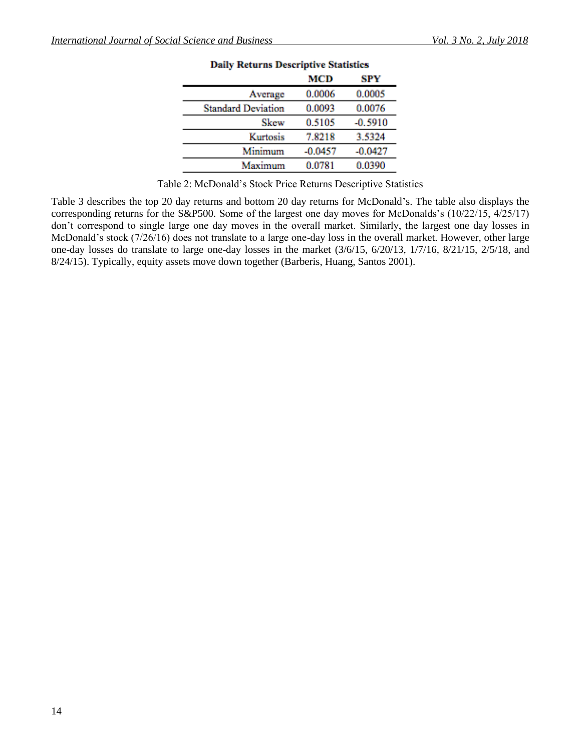| MCD       | SPY       |
|-----------|-----------|
| 0.0006    | 0.0005    |
| 0.0093    | 0.0076    |
| 0.5105    | $-0.5910$ |
| 7.8218    | 3.5324    |
| $-0.0457$ | $-0.0427$ |
| 0.0781    | 0.0390    |
|           |           |

# **Daily Returns Descriptive Statistics**

Table 2: McDonald's Stock Price Returns Descriptive Statistics

Table 3 describes the top 20 day returns and bottom 20 day returns for McDonald's. The table also displays the corresponding returns for the S&P500. Some of the largest one day moves for McDonalds's (10/22/15, 4/25/17) don't correspond to single large one day moves in the overall market. Similarly, the largest one day losses in McDonald's stock (7/26/16) does not translate to a large one-day loss in the overall market. However, other large one-day losses do translate to large one-day losses in the market (3/6/15, 6/20/13, 1/7/16, 8/21/15, 2/5/18, and 8/24/15). Typically, equity assets move down together (Barberis, Huang, Santos 2001).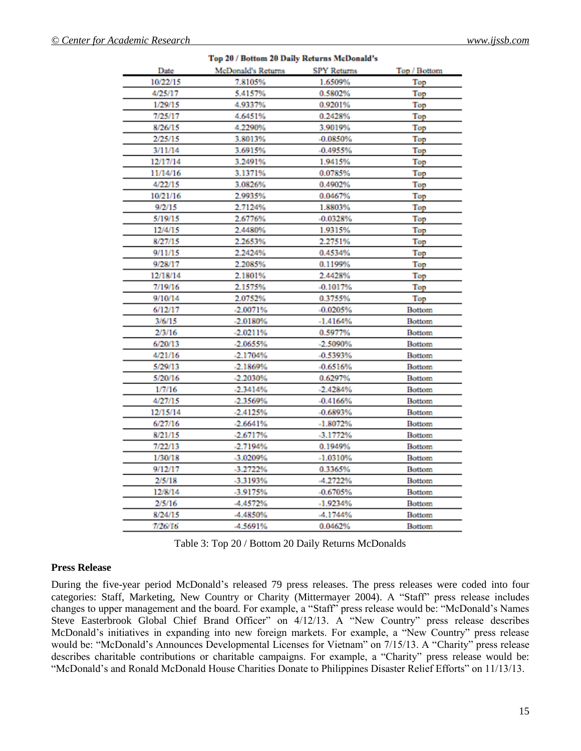| Date     | McDonald's Returns | <b>SPY Returns</b> | Top / Bottom  |
|----------|--------------------|--------------------|---------------|
| 10/22/15 | 7.8105%            | 1.6509%            | Top           |
| 4/25/17  | 5.4157%            | 0.5802%            | Top           |
| 1/29/15  | 4.9337%            | 0.9201%            | Top           |
| 7/25/17  | 4.6451%            | 0.2428%            | Top           |
| 8/26/15  | 4.2290%            | 3.9019%            | Top           |
| 2/25/15  | 3.8013%            | $-0.0850\%$        | Top           |
| 3/11/14  | 3.6915%            | $-0.4955%$         | Top           |
| 12/17/14 | 3.2491%            | 1.9415%            | Top           |
| 11/14/16 | 3.1371%            | 0.0785%            | Top           |
| 4/22/15  | 3.0826%            | 0.4902%            | Top           |
| 10/21/16 | 2.9935%            | 0.0467%            | Top           |
| 9/2/15   | 2.7124%            | 1.8803%            | Top           |
| 5/19/15  | 2.6776%            | $-0.0328%$         | Top           |
| 12/4/15  | 2.4480%            | 1.9315%            | Top           |
| 8/27/15  | 2.2653%            | 2.2751%            | Top           |
| 9/11/15  | 2.2424%            | 0.4534%            | Top           |
| 9/28/17  | 2.2085%            | 0.1199%            | Top           |
| 12/18/14 | 2.1801%            | 2.4428%            | Top           |
| 7/19/16  | 2.1575%            | -0.1017%           | Top           |
| 9/10/14  | 2.0752%            | 0.3755%            | Top           |
| 6/12/17  | $-2.0071%$         | $-0.0205%$         | Bottom        |
| 3/6/15   | $-2.0180\%$        | -1.4164%           | <b>Bottom</b> |
| 2/3/16   | $-2.0211%$         | 0.5977%            | <b>Bottom</b> |
| 6/20/13  | $-2.0655%$         | -2.5090%           | <b>Bottom</b> |
| 4/21/16  | $-2.1704%$         | $-0.5393%$         | <b>Bottom</b> |
| 5/29/13  | $-2.1869%$         | $-0.6516%$         | <b>Bottom</b> |
| 5/20/16  | $-2.2030\%$        | 0.6297%            | <b>Bottom</b> |
| 1/7/16   | $-2.3414%$         | $-2.4284%$         | <b>Bottom</b> |
| 4/27/15  | -2.3569%           | $-0.4166%$         | <b>Bottom</b> |
| 12/15/14 | $-2.4125%$         | $-0.6893%$         | Bottom        |
| 6/27/16  | $-2.6641%$         | $-1.8072%$         | <b>Bottom</b> |
| 8/21/15  | $-2.6717%$         | -3.1772%           | <b>Bottom</b> |
| 7/22/13  | $-2.7194%$         | 0.1949%            | Bottom        |
| 1/30/18  | -3.0209%           | $-1.0310%$         | Bottom        |
| 9/12/17  | $-3.2722%$         | 0.3365%            | <b>Bottom</b> |
| 2/5/18   | -3.3193%           | $-4.2722%$         | <b>Bottom</b> |
| 12/8/14  | -3.9175%           | $-0.6705%$         | <b>Bottom</b> |
| 2/5/16   | -4.4572%           | $-1.9234%$         | Bottom        |
| 8/24/15  | -4.4850%           | -4.1744%           | Bottom        |
| 1/26/16  | -4.5691%           | 0.0462%            | <b>Bottom</b> |

Top 20 / Bottom 20 Daily Returns McDonald's

Table 3: Top 20 / Bottom 20 Daily Returns McDonalds

#### **Press Release**

During the five-year period McDonald's released 79 press releases. The press releases were coded into four categories: Staff, Marketing, New Country or Charity (Mittermayer 2004). A "Staff" press release includes changes to upper management and the board. For example, a "Staff" press release would be: "McDonald's Names Steve Easterbrook Global Chief Brand Officer" on 4/12/13. A "New Country" press release describes McDonald's initiatives in expanding into new foreign markets. For example, a "New Country" press release would be: "McDonald's Announces Developmental Licenses for Vietnam" on 7/15/13. A "Charity" press release describes charitable contributions or charitable campaigns. For example, a "Charity" press release would be: "McDonald's and Ronald McDonald House Charities Donate to Philippines Disaster Relief Efforts" on 11/13/13.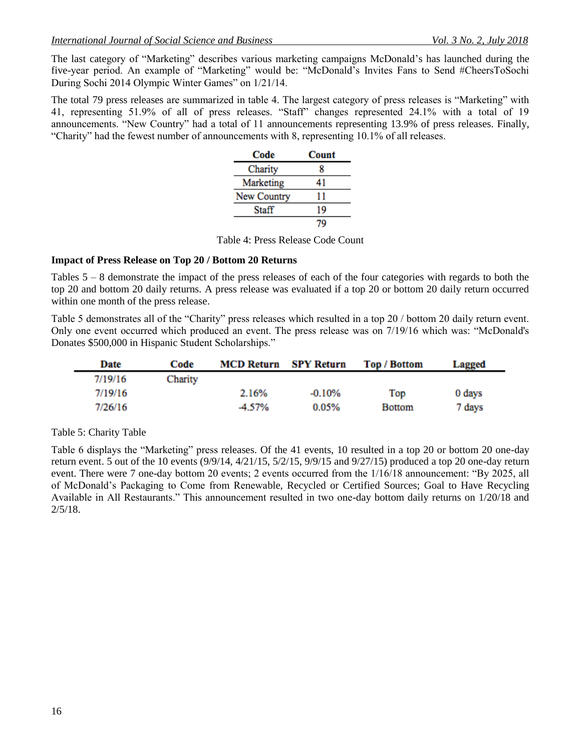The last category of "Marketing" describes various marketing campaigns McDonald's has launched during the five-year period. An example of "Marketing" would be: "McDonald's Invites Fans to Send #CheersToSochi During Sochi 2014 Olympic Winter Games" on 1/21/14.

The total 79 press releases are summarized in table 4. The largest category of press releases is "Marketing" with 41, representing 51.9% of all of press releases. "Staff" changes represented 24.1% with a total of 19 announcements. "New Country" had a total of 11 announcements representing 13.9% of press releases. Finally, "Charity" had the fewest number of announcements with 8, representing 10.1% of all releases.

| Code        | Count |
|-------------|-------|
| Charity     | 8     |
| Marketing   | 41    |
| New Country | 11    |
| Staff       | 19    |
|             |       |

Table 4: Press Release Code Count

#### **Impact of Press Release on Top 20 / Bottom 20 Returns**

Tables 5 – 8 demonstrate the impact of the press releases of each of the four categories with regards to both the top 20 and bottom 20 daily returns. A press release was evaluated if a top 20 or bottom 20 daily return occurred within one month of the press release.

Table 5 demonstrates all of the "Charity" press releases which resulted in a top 20 / bottom 20 daily return event. Only one event occurred which produced an event. The press release was on 7/19/16 which was: "McDonald's Donates \$500,000 in Hispanic Student Scholarships."

| Date    | Code    | <b>MCD Return SPY Return</b> |           | Top / Bottom | Lagged |
|---------|---------|------------------------------|-----------|--------------|--------|
| 7/19/16 | Charity |                              |           |              |        |
| 7/19/16 |         | 2.16%                        | $-0.10\%$ | Top          | 0 days |
| 7/26/16 |         | -4.57%                       | 0.05%     | Bottom       | 7 days |

Table 5: Charity Table

Table 6 displays the "Marketing" press releases. Of the 41 events, 10 resulted in a top 20 or bottom 20 one-day return event. 5 out of the 10 events (9/9/14, 4/21/15, 5/2/15, 9/9/15 and 9/27/15) produced a top 20 one-day return event. There were 7 one-day bottom 20 events; 2 events occurred from the 1/16/18 announcement: "By 2025, all of McDonald's Packaging to Come from Renewable, Recycled or Certified Sources; Goal to Have Recycling Available in All Restaurants." This announcement resulted in two one-day bottom daily returns on 1/20/18 and 2/5/18.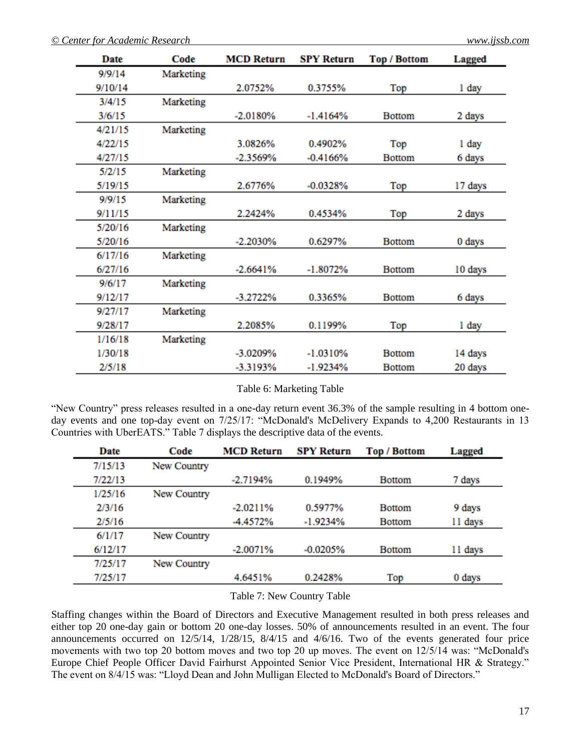| Date    | Code      | <b>MCD Return</b> | <b>SPY Return</b> | Top / Bottom  | Lagged  |
|---------|-----------|-------------------|-------------------|---------------|---------|
| 9/9/14  | Marketing |                   |                   |               |         |
| 9/10/14 |           | 2.0752%           | 0.3755%           | Top           | l day   |
| 3/4/15  | Marketing |                   |                   |               |         |
| 3/6/15  |           | $-2.0180%$        | $-1.4164%$        | <b>Bottom</b> | 2 days  |
| 4/21/15 | Marketing |                   |                   |               |         |
| 4/22/15 |           | 3.0826%           | 0.4902%           | Top           | 1 day   |
| 4/27/15 |           | $-2.3569%$        | $-0.4166%$        | <b>Bottom</b> | 6 days  |
| 5/2/15  | Marketing |                   |                   |               |         |
| 5/19/15 |           | 2.6776%           | $-0.0328%$        | Top           | 17 days |
| 9/9/15  | Marketing |                   |                   |               |         |
| 9/11/15 |           | 2.2424%           | 0.4534%           | Top           | 2 days  |
| 5/20/16 | Marketing |                   |                   |               |         |
| 5/20/16 |           | $-2.2030%$        | 0.6297%           | <b>Bottom</b> | 0 days  |
| 6/17/16 | Marketing |                   |                   |               |         |
| 6/27/16 |           | $-2.6641%$        | $-1.8072%$        | <b>Bottom</b> | 10 days |
| 9/6/17  | Marketing |                   |                   |               |         |
| 9/12/17 |           | $-3.2722%$        | 0.3365%           | <b>Bottom</b> | 6 days  |
| 9/27/17 | Marketing |                   |                   |               |         |
| 9/28/17 |           | 2.2085%           | 0.1199%           | Top           | 1 day   |
| 1/16/18 | Marketing |                   |                   |               |         |
| 1/30/18 |           | $-3.0209%$        | $-1.0310%$        | <b>Bottom</b> | 14 days |
| 2/5/18  |           | -3.3193%          | $-1.9234%$        | Bottom        | 20 days |

Table 6: Marketing Table

"New Country" press releases resulted in a one-day return event 36.3% of the sample resulting in 4 bottom oneday events and one top-day event on 7/25/17: "McDonald's McDelivery Expands to 4,200 Restaurants in 13 Countries with UberEATS." Table 7 displays the descriptive data of the events.

| Code        | <b>MCD Return</b> | <b>SPY Return</b> | Top / Bottom  | Lagged  |
|-------------|-------------------|-------------------|---------------|---------|
| New Country |                   |                   |               |         |
|             | $-2.7194%$        | 0.1949%           | Bottom        | 7 days  |
| New Country |                   |                   |               |         |
|             | $-2.0211%$        | 0.5977%           | <b>Bottom</b> | 9 days  |
|             | -4.4572%          | $-1.9234%$        | Bottom        | 11 days |
| New Country |                   |                   |               |         |
|             | $-2.0071%$        | $-0.0205%$        | <b>Bottom</b> | 11 days |
| New Country |                   |                   |               |         |
|             | 4.6451%           | 0.2428%           | Top           | 0 days  |
|             |                   |                   |               |         |

#### Table 7: New Country Table

Staffing changes within the Board of Directors and Executive Management resulted in both press releases and either top 20 one-day gain or bottom 20 one-day losses. 50% of announcements resulted in an event. The four announcements occurred on 12/5/14, 1/28/15, 8/4/15 and 4/6/16. Two of the events generated four price movements with two top 20 bottom moves and two top 20 up moves. The event on 12/5/14 was: "McDonald's Europe Chief People Officer David Fairhurst Appointed Senior Vice President, International HR & Strategy." The event on 8/4/15 was: "Lloyd Dean and John Mulligan Elected to McDonald's Board of Directors."